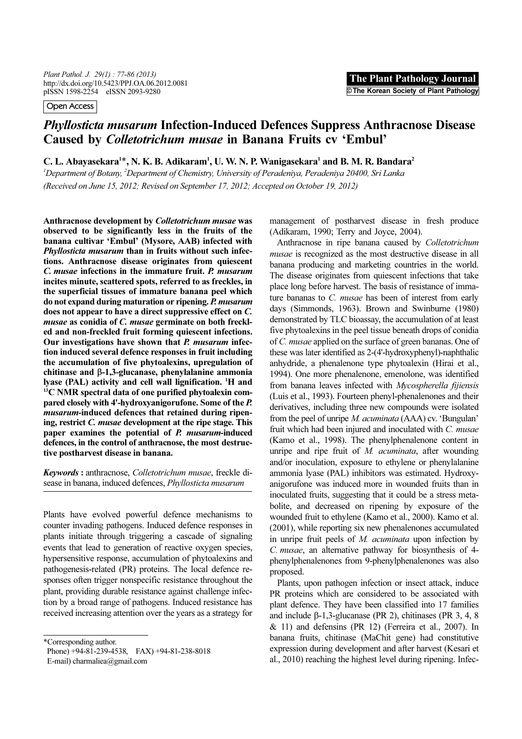Plant Pathol. J. 29(1) : 77-86 (2013) http://dx.doi.org/10.5423/PPJ.OA.06.2012.0081 pISSN 1598-2254 eISSN 2093-9280

Open Access

# Phyllosticta musarum Infection-Induced Defences Suppress Anthracnose Disease Caused by Colletotrichum musae in Banana Fruits cv 'Embul'

C. L. Abayasekara<sup>1\*</sup>, N. K. B. Adikaram<sup>1</sup>, U. W. N. P. Wanigasekara<sup>1</sup> and B. M. R. Bandara<sup>2</sup>

<sup>1</sup> Department of Botany, <sup>2</sup> Department of Chemistry, University of Peradeniya, Peradeniya 20400, Sri Lanka (Received on June 15, 2012; Revised on September 17, 2012; Accepted on October 19, 2012)

Anthracnose development by Colletotrichum musae was observed to be significantly less in the fruits of the banana cultivar 'Embul' (Mysore, AAB) infected with Phyllosticta musarum than in fruits without such infections. Anthracnose disease originates from quiescent C. musae infections in the immature fruit. P. musarum incites minute, scattered spots, referred to as freckles, in the superficial tissues of immature banana peel which do not expand during maturation or ripening. P. musarum does not appear to have a direct suppressive effect on C. musae as conidia of C. musae germinate on both freckled and non-freckled fruit forming quiescent infections. Our investigations have shown that P. musarum infection induced several defence responses in fruit including the accumulation of five phytoalexins, upregulation of chitinase and β-1,3-glucanase, phenylalanine ammonia lyase (PAL) activity and cell wall lignification. <sup>1</sup>H and  $^{13}$ C NMR spectral data of one purified phytoalexin compared closely with 4'-hydroxyanigorufone. Some of the P. musarum-induced defences that retained during ripening, restrict C. musae development at the ripe stage. This paper examines the potential of P. musarum-induced defences, in the control of anthracnose, the most destructive postharvest disease in banana.

Keywords : anthracnose, Colletotrichum musae, freckle disease in banana, induced defences, Phyllosticta musarum

Plants have evolved powerful defence mechanisms to counter invading pathogens. Induced defence responses in plants initiate through triggering a cascade of signaling events that lead to generation of reactive oxygen species, hypersensitive response, accumulation of phytoalexins and pathogenesis-related (PR) proteins. The local defence responses often trigger nonspecific resistance throughout the plant, providing durable resistance against challenge infection by a broad range of pathogens. Induced resistance has received increasing attention over the years as a strategy for

E-mail) charmaliea@gmail.com

management of postharvest disease in fresh produce (Adikaram, 1990; Terry and Joyce, 2004).

Anthracnose in ripe banana caused by Colletotrichum musae is recognized as the most destructive disease in all banana producing and marketing countries in the world. The disease originates from quiescent infections that take place long before harvest. The basis of resistance of immature bananas to C. *musae* has been of interest from early days (Simmonds, 1963). Brown and Swinburne (1980) demonstrated by TLC bioassay, the accumulation of at least five phytoalexins in the peel tissue beneath drops of conidia of C. musae applied on the surface of green bananas. One of these was later identified as 2-(4'-hydroxyphenyl)-naphthalic anhydride, a phenalenone type phytoalexin (Hirai et al., 1994). One more phenalenone, emenolone, was identified from banana leaves infected with Mycospherella fijiensis (Luis et al., 1993). Fourteen phenyl-phenalenones and their derivatives, including three new compounds were isolated from the peel of unripe M. acuminata (AAA) cv. 'Bungulan' fruit which had been injured and inoculated with C. musae (Kamo et al., 1998). The phenylphenalenone content in unripe and ripe fruit of M. *acuminata*, after wounding and/or inoculation, exposure to ethylene or phenylalanine ammonia lyase (PAL) inhibitors was estimated. Hydroxyanigorufone was induced more in wounded fruits than in inoculated fruits, suggesting that it could be a stress metabolite, and decreased on ripening by exposure of the wounded fruit to ethylene (Kamo et al., 2000). Kamo et al. (2001), while reporting six new phenalenones accumulated in unripe fruit peels of M. acuminata upon infection by C. musae, an alternative pathway for biosynthesis of 4 phenylphenalenones from 9-phenylphenalenones was also proposed.

Plants, upon pathogen infection or insect attack, induce PR proteins which are considered to be associated with plant defence. They have been classified into 17 families and include β-1,3-glucanase (PR 2), chitinases (PR 3, 4, 8  $& 11)$  and defensins (PR 12) (Ferreira et al., 2007). In banana fruits, chitinase (MaChit gene) had constitutive expression during development and after harvest (Kesari et al., 2010) reaching the highest level during ripening. Infec-

<sup>\*</sup>Corresponding author.

Phone) +94-81-239-4538, FAX) +94-81-238-8018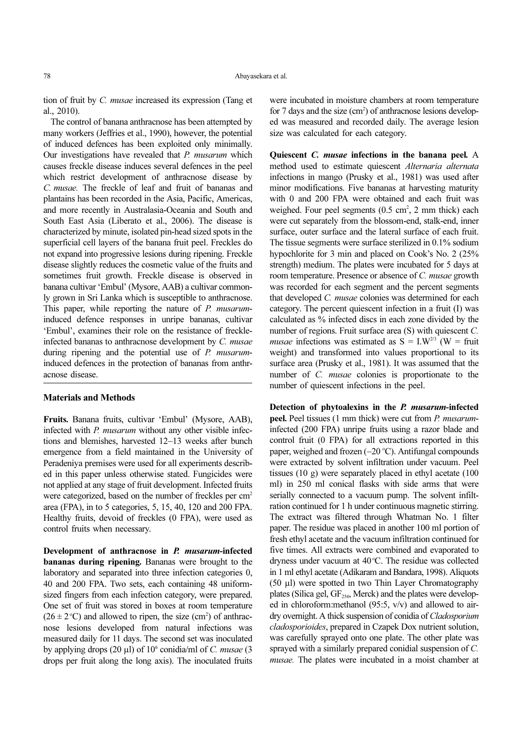tion of fruit by C. musae increased its expression (Tang et al., 2010).

The control of banana anthracnose has been attempted by many workers (Jeffries et al., 1990), however, the potential of induced defences has been exploited only minimally. Our investigations have revealed that P. musarum which causes freckle disease induces several defences in the peel which restrict development of anthracnose disease by C. musae. The freckle of leaf and fruit of bananas and plantains has been recorded in the Asia, Pacific, Americas, and more recently in Australasia-Oceania and South and South East Asia (Liberato et al., 2006). The disease is characterized by minute, isolated pin-head sized spots in the superficial cell layers of the banana fruit peel. Freckles do not expand into progressive lesions during ripening. Freckle disease slightly reduces the cosmetic value of the fruits and sometimes fruit growth. Freckle disease is observed in banana cultivar 'Embul' (Mysore, AAB) a cultivar commonly grown in Sri Lanka which is susceptible to anthracnose. This paper, while reporting the nature of P. musaruminduced defence responses in unripe bananas, cultivar 'Embul', examines their role on the resistance of freckleinfected bananas to anthracnose development by C. musae during ripening and the potential use of P. musaruminduced defences in the protection of bananas from anthracnose disease.

## Materials and Methods

Fruits. Banana fruits, cultivar 'Embul' (Mysore, AAB), infected with P. musarum without any other visible infections and blemishes, harvested 12−13 weeks after bunch emergence from a field maintained in the University of Peradeniya premises were used for all experiments described in this paper unless otherwise stated. Fungicides were not applied at any stage of fruit development. Infected fruits were categorized, based on the number of freckles per cm<sup>2</sup> area (FPA), in to 5 categories, 5, 15, 40, 120 and 200 FPA. Healthy fruits, devoid of freckles (0 FPA), were used as control fruits when necessary.

Development of anthracnose in P. musarum-infected bananas during ripening. Bananas were brought to the laboratory and separated into three infection categories 0, 40 and 200 FPA. Two sets, each containing 48 uniformsized fingers from each infection category, were prepared. One set of fruit was stored in boxes at room temperature  $(26 \pm 2^{\circ}C)$  and allowed to ripen, the size (cm<sup>2</sup>) of anthracnose lesions developed from natural infections was measured daily for 11 days. The second set was inoculated by applying drops  $(20 \text{ µl})$  of  $10^6$  conidia/ml of C. musae  $(3 \text{ mm})$ drops per fruit along the long axis). The inoculated fruits

were incubated in moisture chambers at room temperature for 7 days and the size (cm<sup>2</sup>) of anthracnose lesions developed was measured and recorded daily. The average lesion size was calculated for each category.

Quiescent C. musae infections in the banana peel. A method used to estimate quiescent Alternaria alternata infections in mango (Prusky et al., 1981) was used after minor modifications. Five bananas at harvesting maturity with 0 and 200 FPA were obtained and each fruit was weighed. Four peel segments (0.5 cm<sup>2</sup>, 2 mm thick) each were cut separately from the blossom-end, stalk-end, inner surface, outer surface and the lateral surface of each fruit. The tissue segments were surface sterilized in 0.1% sodium hypochlorite for 3 min and placed on Cook's No. 2 (25% strength) medium. The plates were incubated for 5 days at room temperature. Presence or absence of C. musae growth was recorded for each segment and the percent segments that developed C. musae colonies was determined for each category. The percent quiescent infection in a fruit (I) was calculated as % infected discs in each zone divided by the number of regions. Fruit surface area (S) with quiescent C. *musae* infections was estimated as  $S = I.W^{2/3}$  (W = fruit weight) and transformed into values proportional to its surface area (Prusky et al., 1981). It was assumed that the number of C. musae colonies is proportionate to the number of quiescent infections in the peel.

Detection of phytoalexins in the P. musarum-infected peel. Peel tissues (1 mm thick) were cut from P. musaruminfected (200 FPA) unripe fruits using a razor blade and control fruit (0 FPA) for all extractions reported in this paper, weighed and frozen (-20 °C). Antifungal compounds were extracted by solvent infiltration under vacuum. Peel tissues (10 g) were separately placed in ethyl acetate (100 ml) in 250 ml conical flasks with side arms that were serially connected to a vacuum pump. The solvent infiltration continued for 1 h under continuous magnetic stirring. The extract was filtered through Whatman No. 1 filter paper. The residue was placed in another 100 ml portion of fresh ethyl acetate and the vacuum infiltration continued for five times. All extracts were combined and evaporated to dryness under vacuum at 40°C. The residue was collected in 1 ml ethyl acetate (Adikaram and Bandara, 1998). Aliquots (50 µl) were spotted in two Thin Layer Chromatography plates (Silica gel,  $GF<sub>254</sub>$ , Merck) and the plates were developed in chloroform:methanol (95:5, v/v) and allowed to airdry overnight. A thick suspension of conidia of Cladosporium cladosporioides, prepared in Czapek Dox nutrient solution, was carefully sprayed onto one plate. The other plate was sprayed with a similarly prepared conidial suspension of C. musae. The plates were incubated in a moist chamber at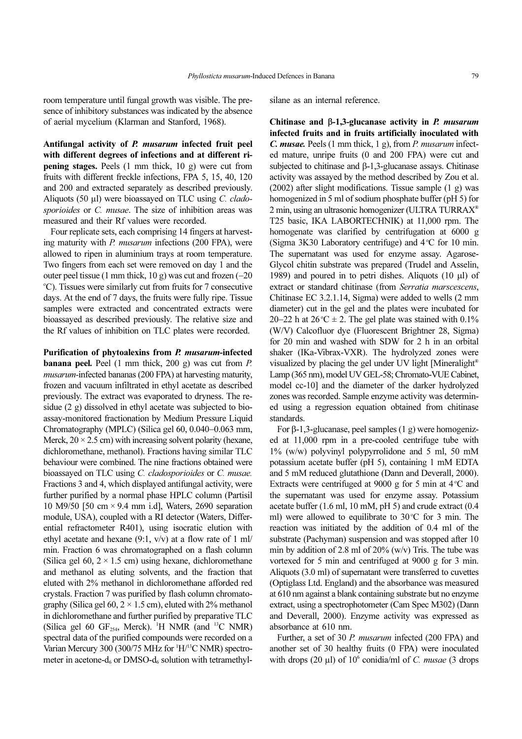room temperature until fungal growth was visible. The presence of inhibitory substances was indicated by the absence of aerial mycelium (Klarman and Stanford, 1968).

Antifungal activity of P. musarum infected fruit peel with different degrees of infections and at different ripening stages. Peels (1 mm thick, 10 g) were cut from fruits with different freckle infections, FPA 5, 15, 40, 120 and 200 and extracted separately as described previously. Aliquots (50 µl) were bioassayed on TLC using C. cladosporioides or C. musae. The size of inhibition areas was measured and their Rf values were recorded.

Four replicate sets, each comprising 14 fingers at harvesting maturity with *P. musarum* infections (200 FPA), were allowed to ripen in aluminium trays at room temperature. Two fingers from each set were removed on day 1 and the outer peel tissue (1 mm thick, 10 g) was cut and frozen (−20 <sup>°</sup>C). Tissues were similarly cut from fruits for 7 consecutive days. At the end of 7 days, the fruits were fully ripe. Tissue samples were extracted and concentrated extracts were bioassayed as described previously. The relative size and the Rf values of inhibition on TLC plates were recorded.

Purification of phytoalexins from P. musarum-infected banana peel. Peel (1 mm thick, 200 g) was cut from P. musarum-infected bananas (200 FPA) at harvesting maturity, frozen and vacuum infiltrated in ethyl acetate as described previously. The extract was evaporated to dryness. The residue (2 g) dissolved in ethyl acetate was subjected to bioassay-monitored fractionation by Medium Pressure Liquid Chromatography (MPLC) (Silica gel 60, 0.040−0.063 mm, Merck,  $20 \times 2.5$  cm) with increasing solvent polarity (hexane, dichloromethane, methanol). Fractions having similar TLC behaviour were combined. The nine fractions obtained were bioassayed on TLC using *C. cladosporioides* or *C. musae*. Fractions 3 and 4, which displayed antifungal activity, were further purified by a normal phase HPLC column (Partisil 10 M9/50 [50 cm × 9.4 mm i.d], Waters, 2690 separation module, USA), coupled with a RI detector (Waters, Differential refractometer R401), using isocratic elution with ethyl acetate and hexane  $(9:1, v/v)$  at a flow rate of 1 ml/ min. Fraction 6 was chromatographed on a flash column (Silica gel 60,  $2 \times 1.5$  cm) using hexane, dichloromethane and methanol as eluting solvents, and the fraction that eluted with 2% methanol in dichloromethane afforded red crystals. Fraction 7 was purified by flash column chromatography (Silica gel  $60$ ,  $2 \times 1.5$  cm), eluted with  $2\%$  methanol in dichloromethane and further purified by preparative TLC (Silica gel 60  $GF<sub>254</sub>$ , Merck). <sup>1</sup>H NMR (and <sup>13</sup>C NMR) spectral data of the purified compounds were recorded on a Varian Mercury 300 (300/75 MHz for <sup>1</sup>H/<sup>13</sup>C NMR) spectrometer in acetone- $d_6$  or DMSO- $d_6$  solution with tetramethylsilane as an internal reference.

Chitinase and β-1,3-glucanase activity in  $P$ . musarum infected fruits and in fruits artificially inoculated with C. musae. Peels (1 mm thick, 1 g), from P. musarum infected mature, unripe fruits (0 and 200 FPA) were cut and subjected to chitinase and β-1,3-glucanase assays. Chitinase activity was assayed by the method described by Zou et al. (2002) after slight modifications. Tissue sample (1 g) was homogenized in 5 ml of sodium phosphate buffer (pH 5) for 2 min, using an ultrasonic homogenizer (ULTRA TURRAX® T25 basic, IKA LABORTECHNIK) at 11,000 rpm. The homogenate was clarified by centrifugation at 6000 g (Sigma 3K30 Laboratory centrifuge) and 4°C for 10 min. The supernatant was used for enzyme assay. Agarose-Glycol chitin substrate was prepared (Trudel and Asselin, 1989) and poured in to petri dishes. Aliquots (10 μl) of extract or standard chitinase (from Serratia marscescens, Chitinase EC 3.2.1.14, Sigma) were added to wells (2 mm diameter) cut in the gel and the plates were incubated for 20–22 h at  $26^{\circ}$ C ± 2. The gel plate was stained with 0.1% (W/V) Calcofluor dye (Fluorescent Brightner 28, Sigma) for 20 min and washed with SDW for 2 h in an orbital shaker (IKa-Vibrax-VXR). The hydrolyzed zones were visualized by placing the gel under UV light [Mineralight® Lamp (365 nm), model UV GEL-58; Chromato-VUE Cabinet, model cc-10] and the diameter of the darker hydrolyzed zones was recorded. Sample enzyme activity was determined using a regression equation obtained from chitinase standards.

For β-1,3-glucanase, peel samples (1 g) were homogenized at 11,000 rpm in a pre-cooled centrifuge tube with 1% (w/w) polyvinyl polypyrrolidone and 5 ml, 50 mM potassium acetate buffer (pH 5), containing 1 mM EDTA and 5 mM reduced glutathione (Dann and Deverall, 2000). Extracts were centrifuged at 9000 g for 5 min at  $4^{\circ}$ C and the supernatant was used for enzyme assay. Potassium acetate buffer (1.6 ml, 10 mM, pH 5) and crude extract (0.4 ml) were allowed to equilibrate to 30°C for 3 min. The reaction was initiated by the addition of 0.4 ml of the substrate (Pachyman) suspension and was stopped after 10 min by addition of 2.8 ml of 20% (w/v) Tris. The tube was vortexed for 5 min and centrifuged at 9000 g for 3 min. Aliquots (3.0 ml) of supernatant were transferred to cuvettes (Optiglass Ltd. England) and the absorbance was measured at 610 nm against a blank containing substrate but no enzyme extract, using a spectrophotometer (Cam Spec M302) (Dann and Deverall, 2000). Enzyme activity was expressed as absorbance at 610 nm.

Further, a set of 30 P. musarum infected (200 FPA) and another set of 30 healthy fruits (0 FPA) were inoculated with drops  $(20 \mu l)$  of  $10^6$  conidia/ml of *C. musae*  $(3 \text{ drops})$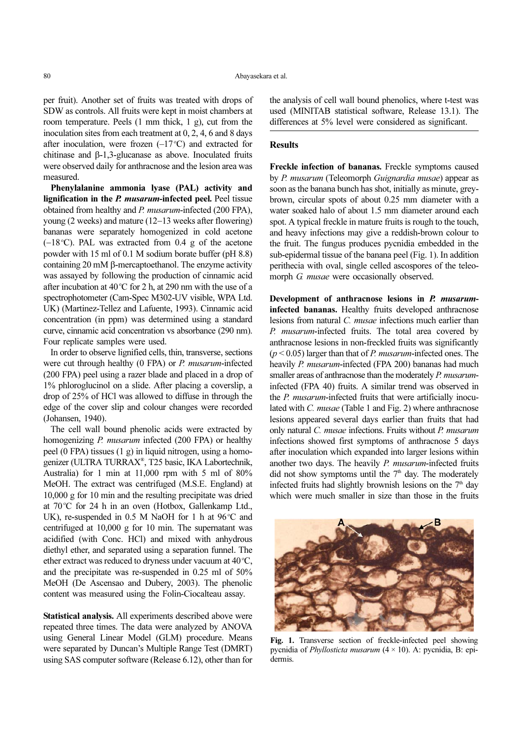per fruit). Another set of fruits was treated with drops of SDW as controls. All fruits were kept in moist chambers at room temperature. Peels (1 mm thick, 1 g), cut from the inoculation sites from each treatment at 0, 2, 4, 6 and 8 days after inoculation, were frozen  $(-17^{\circ}C)$  and extracted for chitinase and β-1,3-glucanase as above. Inoculated fruits were observed daily for anthracnose and the lesion area was measured.

Phenylalanine ammonia lyase (PAL) activity and lignification in the *P. musarum*-infected peel. Peel tissue obtained from healthy and P. musarum-infected (200 FPA), young (2 weeks) and mature (12−13 weeks after flowering) bananas were separately homogenized in cold acetone (-18 °C). PAL was extracted from 0.4 g of the acetone powder with 15 ml of 0.1 M sodium borate buffer (pH 8.8) containing 20 mM β-mercaptoethanol. The enzyme activity was assayed by following the production of cinnamic acid after incubation at  $40^{\circ}$ C for 2 h, at 290 nm with the use of a spectrophotometer (Cam-Spec M302-UV visible, WPA Ltd. UK) (Martinez-Tellez and Lafuente, 1993). Cinnamic acid concentration (in ppm) was determined using a standard curve, cinnamic acid concentration vs absorbance (290 nm). Four replicate samples were used.

In order to observe lignified cells, thin, transverse, sections were cut through healthy (0 FPA) or P. musarum-infected (200 FPA) peel using a razer blade and placed in a drop of 1% phloroglucinol on a slide. After placing a coverslip, a drop of 25% of HCl was allowed to diffuse in through the edge of the cover slip and colour changes were recorded (Johansen, 1940).

The cell wall bound phenolic acids were extracted by homogenizing *P. musarum* infected (200 FPA) or healthy peel (0 FPA) tissues (1 g) in liquid nitrogen, using a homogenizer (ULTRA TURRAX® , T25 basic, IKA Labortechnik, Australia) for 1 min at 11,000 rpm with 5 ml of 80% MeOH. The extract was centrifuged (M.S.E. England) at 10,000 g for 10 min and the resulting precipitate was dried at 70°C for 24 h in an oven (Hotbox, Gallenkamp Ltd., UK), re-suspended in 0.5 M NaOH for 1 h at 96 °C and centrifuged at 10,000 g for 10 min. The supernatant was acidified (with Conc. HCl) and mixed with anhydrous diethyl ether, and separated using a separation funnel. The ether extract was reduced to dryness under vacuum at  $40^{\circ}$ C, and the precipitate was re-suspended in 0.25 ml of 50% MeOH (De Ascensao and Dubery, 2003). The phenolic content was measured using the Folin-Ciocalteau assay.

Statistical analysis. All experiments described above were repeated three times. The data were analyzed by ANOVA using General Linear Model (GLM) procedure. Means were separated by Duncan's Multiple Range Test (DMRT) using SAS computer software (Release 6.12), other than for the analysis of cell wall bound phenolics, where t-test was used (MINITAB statistical software, Release 13.1). The differences at 5% level were considered as significant.

### **Results**

Freckle infection of bananas. Freckle symptoms caused by P. musarum (Teleomorph Guignardia musae) appear as soon as the banana bunch has shot, initially as minute, greybrown, circular spots of about 0.25 mm diameter with a water soaked halo of about 1.5 mm diameter around each spot. A typical freckle in mature fruits is rough to the touch, and heavy infections may give a reddish-brown colour to the fruit. The fungus produces pycnidia embedded in the sub-epidermal tissue of the banana peel (Fig. 1). In addition perithecia with oval, single celled ascospores of the teleomorph G. musae were occasionally observed.

Development of anthracnose lesions in P. musaruminfected bananas. Healthy fruits developed anthracnose lesions from natural C. musae infections much earlier than P. musarum-infected fruits. The total area covered by anthracnose lesions in non-freckled fruits was significantly  $(p < 0.05)$  larger than that of *P. musarum*-infected ones. The heavily P. musarum-infected (FPA 200) bananas had much smaller areas of anthracnose than the moderately P. musaruminfected (FPA 40) fruits. A similar trend was observed in the *P. musarum*-infected fruits that were artificially inoculated with C. musae (Table 1 and Fig. 2) where anthracnose lesions appeared several days earlier than fruits that had only natural C. musae infections. Fruits without P. musarum infections showed first symptoms of anthracnose 5 days after inoculation which expanded into larger lesions within another two days. The heavily *P. musarum*-infected fruits did not show symptoms until the  $7<sup>th</sup>$  day. The moderately infected fruits had slightly brownish lesions on the  $7<sup>th</sup>$  day which were much smaller in size than those in the fruits



Fig. 1. Transverse section of freckle-infected peel showing pycnidia of *Phyllosticta musarum*  $(4 \times 10)$ . A: pycnidia, B: epidermis.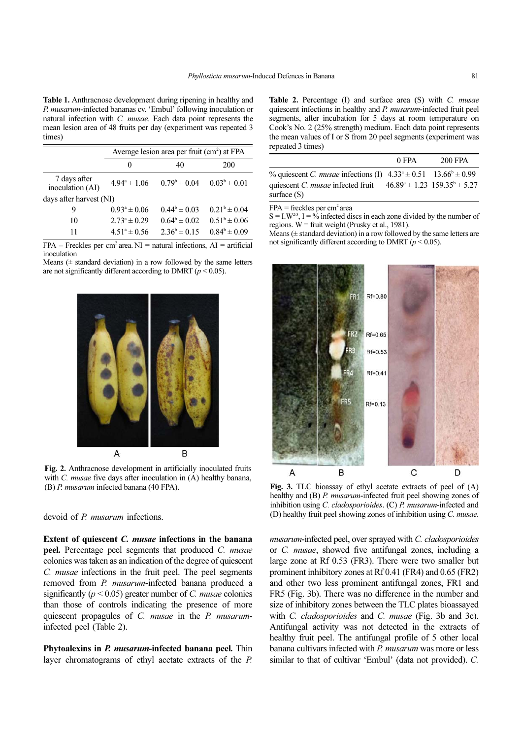Table 1. Anthracnose development during ripening in healthy and P. musarum-infected bananas cv. 'Embul' following inoculation or natural infection with C. musae. Each data point represents the mean lesion area of 48 fruits per day (experiment was repeated 3 times)

|                                  | Average lesion area per fruit (cm <sup>2</sup> ) at FPA |                         |                         |  |
|----------------------------------|---------------------------------------------------------|-------------------------|-------------------------|--|
|                                  | $\theta$                                                | 40                      | 200                     |  |
| 7 days after<br>inoculation (AI) | $4.94^{\circ} \pm 1.06$                                 | $0.79^{\rm b} \pm 0.04$ | $0.03^b \pm 0.01$       |  |
| days after harvest (NI)          |                                                         |                         |                         |  |
| 9                                | $0.93^a \pm 0.06$                                       | $0.44^b \pm 0.03$       | $0.21^b \pm 0.04$       |  |
| 10                               | $2.73^{\circ} \pm 0.29$                                 | $0.64^b \pm 0.02$       | $0.51^{\circ} \pm 0.06$ |  |
| 11                               | $4.51^{\circ} \pm 0.56$                                 | $2.36^b \pm 0.15$       | $0.84^{\circ} \pm 0.09$ |  |

 $FPA$  – Freckles per cm<sup>2</sup> area. NI = natural infections, AI = artificial inoculation

Means  $($  ± standard deviation) in a row followed by the same letters are not significantly different according to DMRT ( $p < 0.05$ ).



Fig. 2. Anthracnose development in artificially inoculated fruits with *C. musae* five days after inoculation in  $(A)$  healthy banana, (B) P. musarum infected banana (40 FPA).

devoid of P. musarum infections.

Extent of quiescent C. musae infections in the banana peel. Percentage peel segments that produced C. musae colonies was taken as an indication of the degree of quiescent C. musae infections in the fruit peel. The peel segments removed from *P. musarum*-infected banana produced a significantly ( $p < 0.05$ ) greater number of C. *musae* colonies than those of controls indicating the presence of more quiescent propagules of C. musae in the P. musaruminfected peel (Table 2).

Phytoalexins in P. musarum-infected banana peel. Thin layer chromatograms of ethyl acetate extracts of the P.

Table 2. Percentage (I) and surface area (S) with C. musae quiescent infections in healthy and P. musarum-infected fruit peel segments, after incubation for 5 days at room temperature on Cook's No. 2 (25% strength) medium. Each data point represents the mean values of I or S from 20 peel segments (experiment was repeated 3 times)

|                                                                                            | 0 FPA | 200 FPA |
|--------------------------------------------------------------------------------------------|-------|---------|
| % quiescent <i>C. musae</i> infections (I) $4.33^a \pm 0.51$ 13.66 <sup>b</sup> $\pm 0.99$ |       |         |
| quiescent C. musae infected fruit $46.89^{\circ} \pm 1.23$ $159.35^{\circ} \pm 5.27$       |       |         |
| surface (S)                                                                                |       |         |

 $FPA = \text{freckles per cm}^2$  area

 $S = I.W<sup>2/3</sup>, I = % infected discs in each zone divided by the number of$ regions.  $W =$  fruit weight (Prusky et al., 1981).

Means  $($  ± standard deviation) in a row followed by the same letters are not significantly different according to DMRT ( $p < 0.05$ ).



Fig. 3. TLC bioassay of ethyl acetate extracts of peel of (A) healthy and (B) P. musarum-infected fruit peel showing zones of inhibition using C. cladosporioides. (C) P. musarum-infected and (D) healthy fruit peel showing zones of inhibition using C. musae.

musarum-infected peel, over sprayed with C. cladosporioides or C. musae, showed five antifungal zones, including a large zone at Rf 0.53 (FR3). There were two smaller but prominent inhibitory zones at Rf 0.41 (FR4) and 0.65 (FR2) and other two less prominent antifungal zones, FR1 and FR5 (Fig. 3b). There was no difference in the number and size of inhibitory zones between the TLC plates bioassayed with *C. cladosporioides* and *C. musae* (Fig. 3b and 3c). Antifungal activity was not detected in the extracts of healthy fruit peel. The antifungal profile of 5 other local banana cultivars infected with P. musarum was more or less similar to that of cultivar 'Embul' (data not provided). C.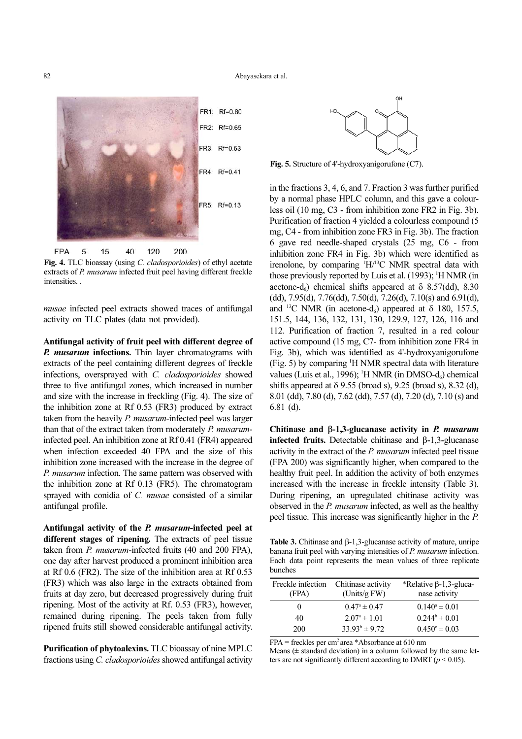

Fig. 4. TLC bioassay (using C. cladosporioides) of ethyl acetate extracts of P. musarum infected fruit peel having different freckle intensities. .

musae infected peel extracts showed traces of antifungal activity on TLC plates (data not provided).

Antifungal activity of fruit peel with different degree of **P.** musarum infections. Thin layer chromatograms with extracts of the peel containing different degrees of freckle infections, oversprayed with C. cladosporioides showed three to five antifungal zones, which increased in number and size with the increase in freckling (Fig. 4). The size of the inhibition zone at Rf 0.53 (FR3) produced by extract taken from the heavily *P. musarum*-infected peel was larger than that of the extract taken from moderately P. musaruminfected peel. An inhibition zone at Rf 0.41 (FR4) appeared when infection exceeded 40 FPA and the size of this inhibition zone increased with the increase in the degree of P. musarum infection. The same pattern was observed with the inhibition zone at Rf 0.13 (FR5). The chromatogram sprayed with conidia of C. musae consisted of a similar antifungal profile.

Antifungal activity of the P. musarum-infected peel at different stages of ripening. The extracts of peel tissue taken from P. musarum-infected fruits (40 and 200 FPA), one day after harvest produced a prominent inhibition area at Rf 0.6 (FR2). The size of the inhibition area at Rf 0.53 (FR3) which was also large in the extracts obtained from fruits at day zero, but decreased progressively during fruit ripening. Most of the activity at Rf. 0.53 (FR3), however, remained during ripening. The peels taken from fully ripened fruits still showed considerable antifungal activity.

Purification of phytoalexins. TLC bioassay of nine MPLC fractions using C. cladosporioides showed antifungal activity



Fig. 5. Structure of 4'-hydroxyanigorufone (C7).

in the fractions 3, 4, 6, and 7. Fraction 3 was further purified by a normal phase HPLC column, and this gave a colourless oil (10 mg, C3 - from inhibition zone FR2 in Fig. 3b). Purification of fraction 4 yielded a colourless compound (5 mg, C4 - from inhibition zone FR3 in Fig. 3b). The fraction 6 gave red needle-shaped crystals (25 mg, C6 - from inhibition zone FR4 in Fig. 3b) which were identified as irenolone, by comparing <sup>1</sup>H/<sup>13</sup>C NMR spectral data with those previously reported by Luis et al. (1993); <sup>1</sup>H NMR (in acetone-d<sub>6</sub>) chemical shifts appeared at  $\delta$  8.57(dd), 8.30 (dd), 7.95(d), 7.76(dd), 7.50(d), 7.26(d), 7.10(s) and 6.91(d), and <sup>13</sup>C NMR (in acetone-d<sub>6</sub>) appeared at  $\delta$  180, 157.5, 151.5, 144, 136, 132, 131, 130, 129.9, 127, 126, 116 and 112. Purification of fraction 7, resulted in a red colour active compound (15 mg, C7- from inhibition zone FR4 in Fig. 3b), which was identified as 4'-hydroxyanigorufone (Fig. 5) by comparing <sup>1</sup>H NMR spectral data with literature values (Luis et al., 1996); <sup>1</sup>H NMR (in DMSO-d<sub>6</sub>) chemical shifts appeared at  $\delta$  9.55 (broad s), 9.25 (broad s), 8.32 (d), 8.01 (dd), 7.80 (d), 7.62 (dd), 7.57 (d), 7.20 (d), 7.10 (s) and 6.81 (d).

Chitinase and β-1,3-glucanase activity in P. musarum infected fruits. Detectable chitinase and β-1,3-glucanase activity in the extract of the P. musarum infected peel tissue (FPA 200) was significantly higher, when compared to the healthy fruit peel. In addition the activity of both enzymes increased with the increase in freckle intensity (Table 3). During ripening, an upregulated chitinase activity was observed in the P. musarum infected, as well as the healthy peel tissue. This increase was significantly higher in the P.

Table 3. Chitinase and β-1,3-glucanase activity of mature, unripe banana fruit peel with varying intensities of P. musarum infection. Each data point represents the mean values of three replicate bunches

| Freckle infection<br>(FPA) | Chitinase activity<br>(Units/g $FW$ ) | *Relative $\beta$ -1,3-gluca-<br>nase activity |
|----------------------------|---------------------------------------|------------------------------------------------|
| 0                          | $0.47^{\circ} \pm 0.47$               | $0.140^a \pm 0.01$                             |
| 40                         | $2.07^{\circ} \pm 1.01$               | $0.244^b \pm 0.01$                             |
| 200                        | $33.93^b \pm 9.72$                    | $0.450^{\circ} \pm 0.03$                       |

 $FPA = \text{freckles per cm}^2$  area \*Absorbance at 610 nm

Means  $(\pm$  standard deviation) in a column followed by the same letters are not significantly different according to DMRT ( $p \le 0.05$ ).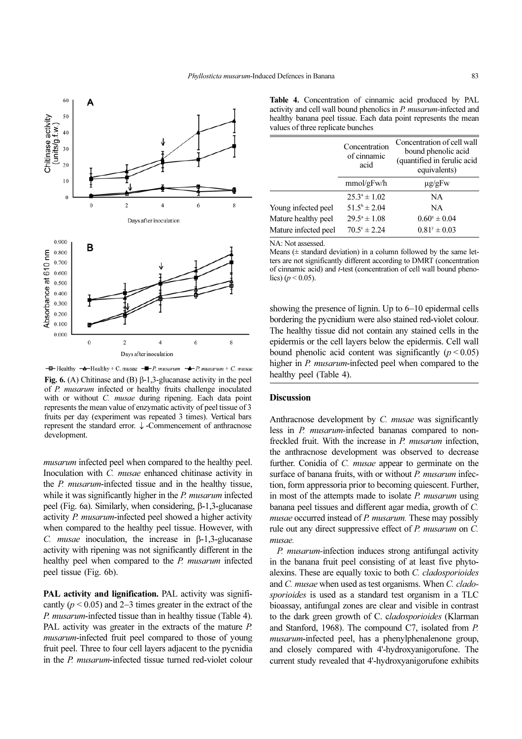

 $-\blacksquare$  Healthy  $-\spadesuit$ -Healthy + C. musae  $-\blacksquare$ -P. musarum  $-\spadesuit$ -P. musarum + C. musae Fig. 6. (A) Chitinase and (B) β-1,3-glucanase activity in the peel of P. musarum infected or healthy fruits challenge inoculated with or without *C. musae* during ripening. Each data point represents the mean value of enzymatic activity of peel tissue of 3 fruits per day (experiment was repeated 3 times). Vertical bars represent the standard error. ↓ -Commencement of anthracnose development.

musarum infected peel when compared to the healthy peel. Inoculation with C. musae enhanced chitinase activity in the P. musarum-infected tissue and in the healthy tissue, while it was significantly higher in the *P. musarum* infected peel (Fig. 6a). Similarly, when considering, β-1,3-glucanase activity P. musarum-infected peel showed a higher activity when compared to the healthy peel tissue. However, with C. *musae* inoculation, the increase in  $\beta$ -1,3-glucanase activity with ripening was not significantly different in the healthy peel when compared to the P. musarum infected peel tissue (Fig. 6b).

PAL activity and lignification. PAL activity was significantly ( $p < 0.05$ ) and 2–3 times greater in the extract of the P. musarum-infected tissue than in healthy tissue (Table 4). PAL activity was greater in the extracts of the mature P. musarum-infected fruit peel compared to those of young fruit peel. Three to four cell layers adjacent to the pycnidia in the P. musarum-infected tissue turned red-violet colour

Table 4. Concentration of cinnamic acid produced by PAL activity and cell wall bound phenolics in P. musarum-infected and healthy banana peel tissue. Each data point represents the mean values of three replicate bunches

|                      | Concentration<br>of cinnamic<br>acid | Concentration of cell wall<br>bound phenolic acid<br>(quantified in ferulic acid<br>equivalents) |
|----------------------|--------------------------------------|--------------------------------------------------------------------------------------------------|
|                      | mmol/gFw/h                           | $\mu$ g/gFw                                                                                      |
|                      | $25.3^{\circ} \pm 1.02$              | NA                                                                                               |
| Young infected peel  | $51.5^b \pm 2.04$                    | NA                                                                                               |
| Mature healthy peel  | $29.5^{\circ} \pm 1.08$              | $0.60^x \pm 0.04$                                                                                |
| Mature infected peel | $70.5^{\circ} \pm 2.24$              | $0.81^y \pm 0.03$                                                                                |

NA: Not assessed.

Means  $($  ± standard deviation) in a column followed by the same letters are not significantly different according to DMRT (concentration of cinnamic acid) and t-test (concentration of cell wall bound phenolics)  $(p < 0.05)$ .

showing the presence of lignin. Up to 6−10 epidermal cells bordering the pycnidium were also stained red-violet colour. The healthy tissue did not contain any stained cells in the epidermis or the cell layers below the epidermis. Cell wall bound phenolic acid content was significantly  $(p < 0.05)$ higher in *P. musarum*-infected peel when compared to the healthy peel (Table 4).

# **Discussion**

Anthracnose development by C. musae was significantly less in P. musarum-infected bananas compared to nonfreckled fruit. With the increase in P. musarum infection, the anthracnose development was observed to decrease further. Conidia of C. musae appear to germinate on the surface of banana fruits, with or without P. musarum infection, form appressoria prior to becoming quiescent. Further, in most of the attempts made to isolate  $P$ . musarum using banana peel tissues and different agar media, growth of C. musae occurred instead of P. musarum. These may possibly rule out any direct suppressive effect of P. musarum on C. musae.

P. musarum-infection induces strong antifungal activity in the banana fruit peel consisting of at least five phytoalexins. These are equally toxic to both C. cladosporioides and C. musae when used as test organisms. When C. cladosporioides is used as a standard test organism in a TLC bioassay, antifungal zones are clear and visible in contrast to the dark green growth of C. cladosporioides (Klarman and Stanford, 1968). The compound C7, isolated from P. musarum-infected peel, has a phenylphenalenone group, and closely compared with 4'-hydroxyanigorufone. The current study revealed that 4'-hydroxyanigorufone exhibits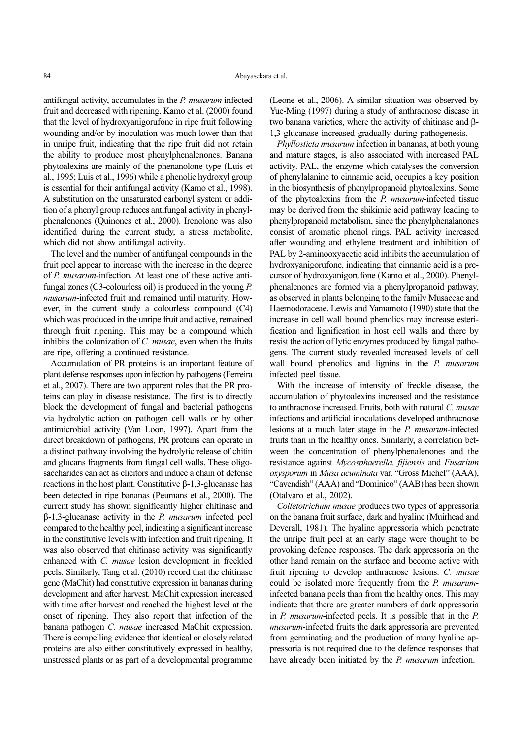antifungal activity, accumulates in the P. musarum infected fruit and decreased with ripening. Kamo et al. (2000) found that the level of hydroxyanigorufone in ripe fruit following wounding and/or by inoculation was much lower than that in unripe fruit, indicating that the ripe fruit did not retain the ability to produce most phenylphenalenones. Banana phytoalexins are mainly of the phenanolone type (Luis et al., 1995; Luis et al., 1996) while a phenolic hydroxyl group is essential for their antifungal activity (Kamo et al., 1998). A substitution on the unsaturated carbonyl system or addition of a phenyl group reduces antifungal activity in phenylphenalenones (Quinones et al., 2000). Irenolone was also identified during the current study, a stress metabolite, which did not show antifungal activity.

The level and the number of antifungal compounds in the fruit peel appear to increase with the increase in the degree of P. musarum-infection. At least one of these active antifungal zones (C3-colourless oil) is produced in the young P. musarum-infected fruit and remained until maturity. However, in the current study a colourless compound (C4) which was produced in the unripe fruit and active, remained through fruit ripening. This may be a compound which inhibits the colonization of C. musae, even when the fruits are ripe, offering a continued resistance.

Accumulation of PR proteins is an important feature of plant defense responses upon infection by pathogens (Ferreira et al., 2007). There are two apparent roles that the PR proteins can play in disease resistance. The first is to directly block the development of fungal and bacterial pathogens via hydrolytic action on pathogen cell walls or by other antimicrobial activity (Van Loon, 1997). Apart from the direct breakdown of pathogens, PR proteins can operate in a distinct pathway involving the hydrolytic release of chitin and glucans fragments from fungal cell walls. These oligosaccharides can act as elicitors and induce a chain of defense reactions in the host plant. Constitutive β-1,3-glucanase has been detected in ripe bananas (Peumans et al., 2000). The current study has shown significantly higher chitinase and β-1,3-glucanase activity in the P. musarum infected peel compared to the healthy peel, indicating a significant increase in the constitutive levels with infection and fruit ripening. It was also observed that chitinase activity was significantly enhanced with C. musae lesion development in freckled peels. Similarly, Tang et al. (2010) record that the chitinase gene (MaChit) had constitutive expression in bananas during development and after harvest. MaChit expression increased with time after harvest and reached the highest level at the onset of ripening. They also report that infection of the banana pathogen C. musae increased MaChit expression. There is compelling evidence that identical or closely related proteins are also either constitutively expressed in healthy, unstressed plants or as part of a developmental programme

(Leone et al., 2006). A similar situation was observed by Yue-Ming (1997) during a study of anthracnose disease in two banana varieties, where the activity of chitinase and β-1,3-glucanase increased gradually during pathogenesis.

Phyllosticta musarum infection in bananas, at both young and mature stages, is also associated with increased PAL activity. PAL, the enzyme which catalyses the conversion of phenylalanine to cinnamic acid, occupies a key position in the biosynthesis of phenylpropanoid phytoalexins. Some of the phytoalexins from the P. musarum-infected tissue may be derived from the shikimic acid pathway leading to phenylpropanoid metabolism, since the phenylphenalanones consist of aromatic phenol rings. PAL activity increased after wounding and ethylene treatment and inhibition of PAL by 2-aminooxyacetic acid inhibits the accumulation of hydroxyanigorufone, indicating that cinnamic acid is a precursor of hydroxyanigorufone (Kamo et al., 2000). Phenylphenalenones are formed via a phenylpropanoid pathway, as observed in plants belonging to the family Musaceae and Haemodoraceae. Lewis and Yamamoto (1990) state that the increase in cell wall bound phenolics may increase esterification and lignification in host cell walls and there by resist the action of lytic enzymes produced by fungal pathogens. The current study revealed increased levels of cell wall bound phenolics and lignins in the P. musarum infected peel tissue.

With the increase of intensity of freckle disease, the accumulation of phytoalexins increased and the resistance to anthracnose increased. Fruits, both with natural C. musae infections and artificial inoculations developed anthracnose lesions at a much later stage in the P. musarum-infected fruits than in the healthy ones. Similarly, a correlation between the concentration of phenylphenalenones and the resistance against Mycosphaerella. fijiensis and Fusarium oxysporum in Musa acuminata var. "Gross Michel" (AAA), "Cavendish" (AAA) and "Dominico" (AAB) has been shown (Otalvaro et al., 2002).

Colletotrichum musae produces two types of appressoria on the banana fruit surface, dark and hyaline (Muirhead and Deverall, 1981). The hyaline appressoria which penetrate the unripe fruit peel at an early stage were thought to be provoking defence responses. The dark appressoria on the other hand remain on the surface and become active with fruit ripening to develop anthracnose lesions. C. musae could be isolated more frequently from the P. musaruminfected banana peels than from the healthy ones. This may indicate that there are greater numbers of dark appressoria in P. musarum-infected peels. It is possible that in the P. musarum-infected fruits the dark appressoria are prevented from germinating and the production of many hyaline appressoria is not required due to the defence responses that have already been initiated by the *P. musarum* infection.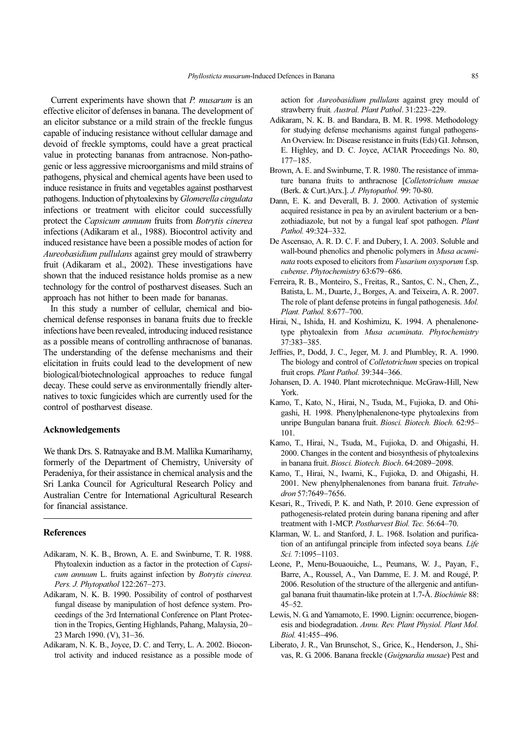Current experiments have shown that P. musarum is an effective elicitor of defenses in banana. The development of an elicitor substance or a mild strain of the freckle fungus capable of inducing resistance without cellular damage and devoid of freckle symptoms, could have a great practical value in protecting bananas from antracnose. Non-pathogenic or less aggressive microorganisms and mild strains of pathogens, physical and chemical agents have been used to induce resistance in fruits and vegetables against postharvest pathogens. Induction of phytoalexins by Glomerella cingulata infections or treatment with elicitor could successfully protect the Capsicum annuum fruits from Botrytis cinerea infections (Adikaram et al., 1988). Biocontrol activity and induced resistance have been a possible modes of action for Aureobasidium pullulans against grey mould of strawberry fruit (Adikaram et al., 2002). These investigations have shown that the induced resistance holds promise as a new technology for the control of postharvest diseases. Such an approach has not hither to been made for bananas.

In this study a number of cellular, chemical and biochemical defense responses in banana fruits due to freckle infections have been revealed, introducing induced resistance as a possible means of controlling anthracnose of bananas. The understanding of the defense mechanisms and their elicitation in fruits could lead to the development of new biological/biotechnological approaches to reduce fungal decay. These could serve as environmentally friendly alternatives to toxic fungicides which are currently used for the control of postharvest disease.

### Acknowledgements

We thank Drs. S. Ratnayake and B.M. Mallika Kumarihamy, formerly of the Department of Chemistry, University of Peradeniya, for their assistance in chemical analysis and the Sri Lanka Council for Agricultural Research Policy and Australian Centre for International Agricultural Research for financial assistance.

### References

- Adikaram, N. K. B., Brown, A. E. and Swinburne, T. R. 1988. Phytoalexin induction as a factor in the protection of Capsicum annuum L. fruits against infection by Botrytis cinerea. Pers. J. Phytopathol 122:267−273.
- Adikaram, N. K. B. 1990. Possibility of control of postharvest fungal disease by manipulation of host defence system. Proceedings of the 3rd International Conference on Plant Protection in the Tropics, Genting Highlands, Pahang, Malaysia, 20− 23 March 1990. (V), 31−36.
- Adikaram, N. K. B., Joyce, D. C. and Terry, L. A. 2002. Biocontrol activity and induced resistance as a possible mode of

action for Aureobasidium pullulans against grey mould of strawberry fruit. Austral. Plant Pathol. 31:223−229.

- Adikaram, N. K. B. and Bandara, B. M. R. 1998. Methodology for studying defense mechanisms against fungal pathogens-An Overview. In: Disease resistance in fruits (Eds) G.I. Johnson, E. Highley, and D. C. Joyce, ACIAR Proceedings No. 80, 177−185.
- Brown, A. E. and Swinburne, T. R. 1980. The resistance of immature banana fruits to anthracnose [Colletotrichum musae (Berk. & Curt.)Arx.]. J. Phytopathol. 99: 70-80.
- Dann, E. K. and Deverall, B. J. 2000. Activation of systemic acquired resistance in pea by an avirulent bacterium or a benzothiadiazole, but not by a fungal leaf spot pathogen. Plant Pathol. 49:324−332.
- De Ascensao, A. R. D. C. F. and Dubery, I. A. 2003. Soluble and wall-bound phenolics and phenolic polymers in *Musa acumi*nata roots exposed to elicitors from Fusarium oxysporum f.sp. cubense. Phytochemistry 63:679−686.
- Ferreira, R. B., Monteiro, S., Freitas, R., Santos, C. N., Chen, Z., Batista, L. M., Duarte, J., Borges, A. and Teixeira, A. R. 2007. The role of plant defense proteins in fungal pathogenesis. Mol. Plant. Pathol. 8:677–700.
- Hirai, N., Ishida, H. and Koshimizu, K. 1994. A phenalenonetype phytoalexin from Musa acuminata. Phytochemistry 37:383−385.
- Jeffries, P., Dodd, J. C., Jeger, M. J. and Plumbley, R. A. 1990. The biology and control of *Colletotrichum* species on tropical fruit crops. Plant Pathol. 39:344−366.
- Johansen, D. A. 1940. Plant microtechnique. McGraw-Hill, New York.
- Kamo, T., Kato, N., Hirai, N., Tsuda, M., Fujioka, D. and Ohigashi, H. 1998. Phenylphenalenone-type phytoalexins from unripe Bungulan banana fruit. Biosci. Biotech. Bioch. 62:95– 101.
- Kamo, T., Hirai, N., Tsuda, M., Fujioka, D. and Ohigashi, H. 2000. Changes in the content and biosynthesis of phytoalexins in banana fruit. Biosci. Biotech. Bioch. 64:2089−2098.
- Kamo, T., Hirai, N., Iwami, K., Fujioka, D. and Ohigashi, H. 2001. New phenylphenalenones from banana fruit. Tetrahedron 57:7649−7656.
- Kesari, R., Trivedi, P. K. and Nath, P. 2010. Gene expression of pathogenesis-related protein during banana ripening and after treatment with 1-MCP. Postharvest Biol. Tec. 56:64–70.
- Klarman, W. L. and Stanford, J. L. 1968. Isolation and purification of an antifungal principle from infected soya beans. Life Sci. 7:1095−1103.
- Leone, P., Menu-Bouaouiche, L., Peumans, W. J., Payan, F., Barre, A., Roussel, A., Van Damme, E. J. M. and Rougé, P. 2006. Resolution of the structure of the allergenic and antifungal banana fruit thaumatin-like protein at 1.7-Å. Biochimie 88: 45–52.
- Lewis, N. G. and Yamamoto, E. 1990. Lignin: occurrence, biogenesis and biodegradation. Annu. Rev. Plant Physiol. Plant Mol. Biol. 41:455−496.
- Liberato, J. R., Van Brunschot, S., Grice, K., Henderson, J., Shivas, R. G. 2006. Banana freckle (Guignardia musae) Pest and